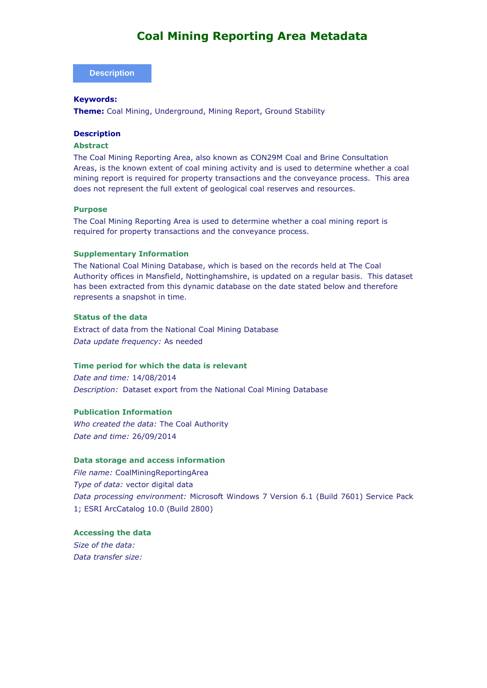#### **Description**

#### **Keywords:**

**Theme:** Coal Mining, Underground, Mining Report, Ground Stability

#### **Description**

#### **Abstract**

The Coal Mining Reporting Area, also known as CON29M Coal and Brine Consultation Areas, is the known extent of coal mining activity and is used to determine whether a coal mining report is required for property transactions and the conveyance process. This area does not represent the full extent of geological coal reserves and resources.

#### **Purpose**

The Coal Mining Reporting Area is used to determine whether a coal mining report is required for property transactions and the conveyance process.

#### **Supplementary Information**

The National Coal Mining Database, which is based on the records held at The Coal Authority offices in Mansfield, Nottinghamshire, is updated on a regular basis. This dataset has been extracted from this dynamic database on the date stated below and therefore represents a snapshot in time.

#### **Status of the data**

Extract of data from the National Coal Mining Database *Data update frequency:* As needed

### **Time period for which the data is relevant**

*Date and time:* 14/08/2014 *Description:* Dataset export from the National Coal Mining Database

#### **Publication Information**

*Who created the data:* The Coal Authority *Date and time:* 26/09/2014

#### **Data storage and access information**

*File name:* CoalMiningReportingArea *Type of data:* vector digital data *Data processing environment:* Microsoft Windows 7 Version 6.1 (Build 7601) Service Pack 1; ESRI ArcCatalog 10.0 (Build 2800)

# **Accessing the data**

*Size of the data: Data transfer size:*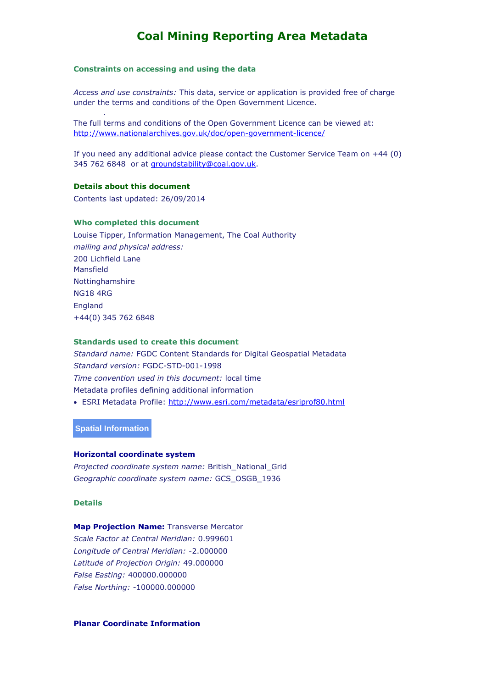#### **Constraints on accessing and using the data**

*Access and use constraints:* This data, service or application is provided free of charge under the terms and conditions of the Open Government Licence.

The full terms and conditions of the Open Government Licence can be viewed at: <http://www.nationalarchives.gov.uk/doc/open-government-licence/>

If you need any additional advice please contact the Customer Service Team on +44 (0) 345 762 6848 or at [groundstability@coal.gov.uk.](mailto:groundstability@coal.gov.uk)

#### **Details about this document**

.

Contents last updated: 26/09/2014

#### **Who completed this document**

Louise Tipper, Information Management, The Coal Authority *mailing and physical address:* 200 Lichfield Lane Mansfield Nottinghamshire NG18 4RG England +44(0) 345 762 6848

#### **Standards used to create this document**

*Standard name:* FGDC Content Standards for Digital Geospatial Metadata *Standard version:* FGDC-STD-001-1998 *Time convention used in this document:* local time Metadata profiles defining additional information ESRI Metadata Profile:<http://www.esri.com/metadata/esriprof80.html>

**Spatial Information**

#### **Horizontal coordinate system**

*Projected coordinate system name:* British\_National\_Grid *Geographic coordinate system name:* GCS\_OSGB\_1936

**Details** 

#### **Map Projection Name: Transverse Mercator**

*Scale Factor at Central Meridian:* 0.999601 *Longitude of Central Meridian:* -2.000000 *Latitude of Projection Origin:* 49.000000 *False Easting:* 400000.000000 *False Northing:* -100000.000000

#### **Planar Coordinate Information**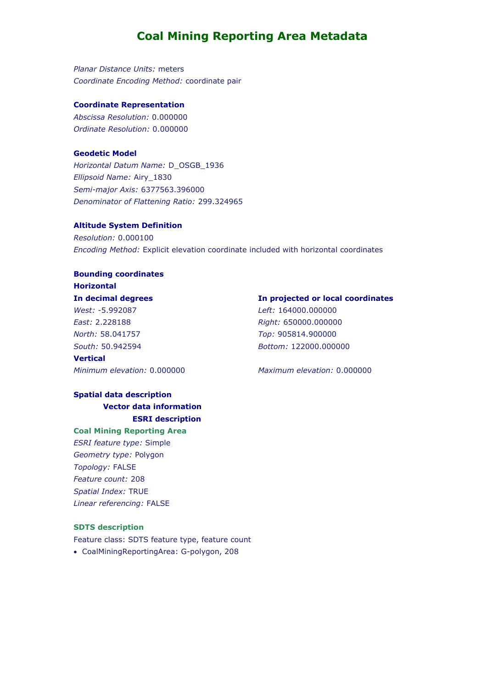*Planar Distance Units:* meters *Coordinate Encoding Method:* coordinate pair

#### **Coordinate Representation**

*Abscissa Resolution:* 0.000000 *Ordinate Resolution:* 0.000000

#### **Geodetic Model**

*Horizontal Datum Name:* D\_OSGB\_1936 *Ellipsoid Name:* Airy\_1830 *Semi-major Axis:* 6377563.396000 *Denominator of Flattening Ratio:* 299.324965

#### **Altitude System Definition**

*Resolution:* 0.000100 *Encoding Method:* Explicit elevation coordinate included with horizontal coordinates

## **Bounding coordinates Horizontal In decimal degrees** *West:* -5.992087

*East:* 2.228188 *North:* 58.041757 *South:* 50.942594 **Vertical**

*Minimum elevation:* 0.000000 *Maximum elevation:* 0.000000

### **Spatial data description Vector data information ESRI description**

**Coal Mining Reporting Area** 

*ESRI feature type:* Simple *Geometry type:* Polygon *Topology:* FALSE *Feature count:* 208 *Spatial Index:* TRUE *Linear referencing:* FALSE

#### **SDTS description**

Feature class: SDTS feature type, feature count CoalMiningReportingArea: G-polygon, 208

#### **In projected or local coordinates**

*Left:* 164000.000000 *Right:* 650000.000000 *Top:* 905814.900000 *Bottom:* 122000.000000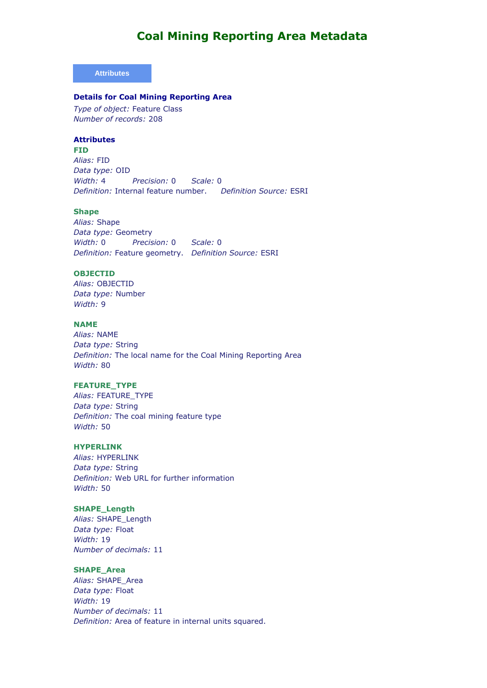#### **Attributes**

#### **Details for Coal Mining Reporting Area**

*Type of object:* Feature Class *Number of records:* 208

#### **Attributes**

**FID**  *Alias:* FID *Data type:* OID *Width:* 4 *Precision:* 0 *Scale:* 0 *Definition:* Internal feature number. *Definition Source:* ESRI

#### **Shape**

*Alias:* Shape *Data type:* Geometry *Width:* 0 *Precision:* 0 *Scale:* 0 *Definition:* Feature geometry. *Definition Source:* ESRI

### **OBJECTID**

*Alias:* OBJECTID *Data type:* Number *Width:* 9

#### **NAME**

*Alias:* NAME *Data type:* String *Definition:* The local name for the Coal Mining Reporting Area *Width:* 80

#### **FEATURE\_TYPE**

*Alias:* FEATURE\_TYPE *Data type:* String *Definition:* The coal mining feature type *Width:* 50

#### **HYPERLINK**

*Alias:* HYPERLINK *Data type:* String *Definition:* Web URL for further information *Width:* 50

#### **SHAPE\_Length**

*Alias:* SHAPE\_Length *Data type:* Float *Width:* 19 *Number of decimals:* 11

### **SHAPE\_Area**

*Alias:* SHAPE\_Area *Data type:* Float *Width:* 19 *Number of decimals:* 11 *Definition:* Area of feature in internal units squared.